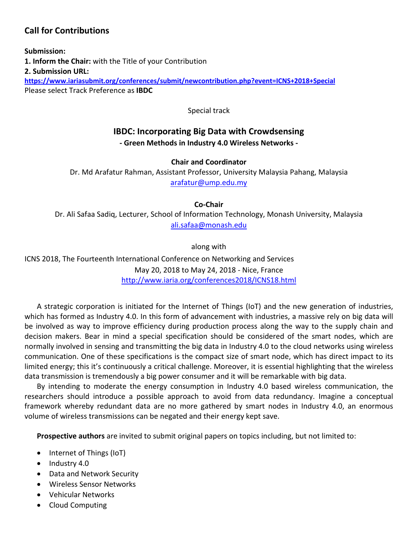## **Call for Contributions**

**Submission: 1. Inform the Chair:** with the Title of your Contribution **2. Submission URL: <https://www.iariasubmit.org/conferences/submit/newcontribution.php?event=ICNS+2018+Special>** Please select Track Preference as **IBDC**

Special track

# **IBDC: Incorporating Big Data with Crowdsensing**

### **- Green Methods in Industry 4.0 Wireless Networks -**

#### **Chair and Coordinator**

Dr. Md Arafatur Rahman, Assistant Professor, University Malaysia Pahang, Malaysia [arafatur@ump.edu.my](mailto:arafatur@ump.edu.my)

**Co-Chair**

Dr. Ali Safaa Sadiq, Lecturer, School of Information Technology, Monash University, Malaysia [ali.safaa@monash.edu](mailto:ali.safaa@monash.edu)

along with

ICNS 2018, The Fourteenth International Conference on Networking and Services May 20, 2018 to May 24, 2018 - Nice, France <http://www.iaria.org/conferences2018/ICNS18.html>

A strategic corporation is initiated for the Internet of Things (IoT) and the new generation of industries, which has formed as Industry 4.0. In this form of advancement with industries, a massive rely on big data will be involved as way to improve efficiency during production process along the way to the supply chain and decision makers. Bear in mind a special specification should be considered of the smart nodes, which are normally involved in sensing and transmitting the big data in Industry 4.0 to the cloud networks using wireless communication. One of these specifications is the compact size of smart node, which has direct impact to its limited energy; this it's continuously a critical challenge. Moreover, it is essential highlighting that the wireless data transmission is tremendously a big power consumer and it will be remarkable with big data.

By intending to moderate the energy consumption in Industry 4.0 based wireless communication, the researchers should introduce a possible approach to avoid from data redundancy. Imagine a conceptual framework whereby redundant data are no more gathered by smart nodes in Industry 4.0, an enormous volume of wireless transmissions can be negated and their energy kept save.

**Prospective authors** are invited to submit original papers on topics including, but not limited to:

- Internet of Things (IoT)
- $\bullet$  Industry 4.0
- Data and Network Security
- Wireless Sensor Networks
- Vehicular Networks
- Cloud Computing